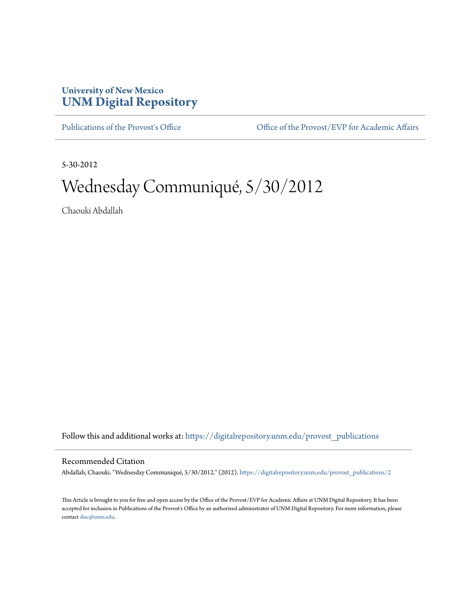## **University of New Mexico [UNM Digital Repository](https://digitalrepository.unm.edu?utm_source=digitalrepository.unm.edu%2Fprovost_publications%2F2&utm_medium=PDF&utm_campaign=PDFCoverPages)**

[Publications of the Provost's Office](https://digitalrepository.unm.edu/provost_publications?utm_source=digitalrepository.unm.edu%2Fprovost_publications%2F2&utm_medium=PDF&utm_campaign=PDFCoverPages) Office [Office of the Provost/EVP for Academic Affairs](https://digitalrepository.unm.edu/ofc_provost?utm_source=digitalrepository.unm.edu%2Fprovost_publications%2F2&utm_medium=PDF&utm_campaign=PDFCoverPages)

5-30-2012

# Wednesday Communiqué, 5/30/2012

Chaouki Abdallah

Follow this and additional works at: [https://digitalrepository.unm.edu/provost\\_publications](https://digitalrepository.unm.edu/provost_publications?utm_source=digitalrepository.unm.edu%2Fprovost_publications%2F2&utm_medium=PDF&utm_campaign=PDFCoverPages)

#### Recommended Citation

Abdallah, Chaouki. "Wednesday Communiqué, 5/30/2012." (2012). [https://digitalrepository.unm.edu/provost\\_publications/2](https://digitalrepository.unm.edu/provost_publications/2?utm_source=digitalrepository.unm.edu%2Fprovost_publications%2F2&utm_medium=PDF&utm_campaign=PDFCoverPages)

This Article is brought to you for free and open access by the Office of the Provost/EVP for Academic Affairs at UNM Digital Repository. It has been accepted for inclusion in Publications of the Provost's Office by an authorized administrator of UNM Digital Repository. For more information, please contact [disc@unm.edu.](mailto:disc@unm.edu)